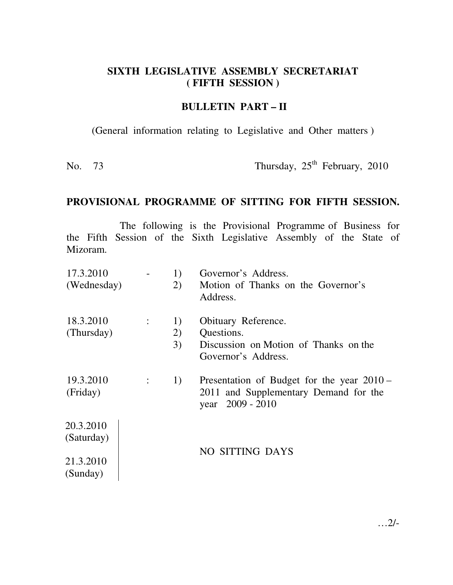## **SIXTH LEGISLATIVE ASSEMBLY SECRETARIAT ( FIFTH SESSION )**

## **BULLETIN PART – II**

(General information relating to Legislative and Other matters )

No. 73 Thursday,  $25<sup>th</sup>$  February, 2010

## **PROVISIONAL PROGRAMME OF SITTING FOR FIFTH SESSION.**

The following is the Provisional Programme of Business for the Fifth Session of the Sixth Legislative Assembly of the State of Mizoram.

| 17.3.2010<br>(Wednesday) |                             | 1)<br>2) | Governor's Address.<br>Motion of Thanks on the Governor's<br>Address.                                      |  |
|--------------------------|-----------------------------|----------|------------------------------------------------------------------------------------------------------------|--|
| 18.3.2010                | $\mathcal{X}^{\mathcal{A}}$ | 1)       | Obituary Reference.                                                                                        |  |
| (Thursday)               |                             | 2)       | Questions.                                                                                                 |  |
|                          |                             | 3)       | Discussion on Motion of Thanks on the<br>Governor's Address.                                               |  |
| 19.3.2010<br>(Friday)    | $\mathbb{Z}^n$ .            | 1)       | Presentation of Budget for the year 2010 –<br>2011 and Supplementary Demand for the<br>2009 - 2010<br>year |  |
| 20.3.2010                |                             |          |                                                                                                            |  |
| (Saturday)               |                             |          |                                                                                                            |  |
| 21.3.2010<br>(Sunday)    |                             |          | NO SITTING DAYS                                                                                            |  |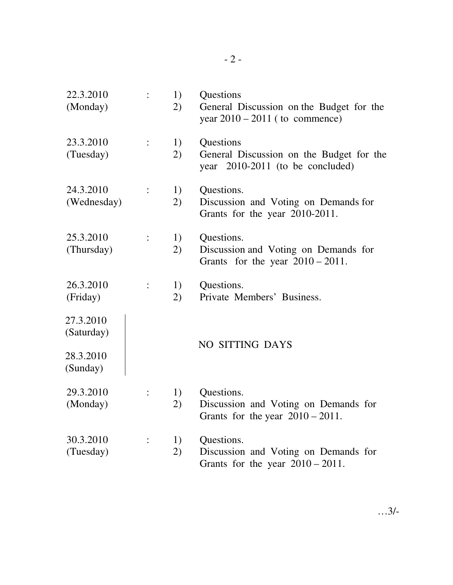| 22.3.2010<br>(Monday)                            |                | 1)<br>2) | Questions<br>General Discussion on the Budget for the<br>year $2010 - 2011$ (to commence) |
|--------------------------------------------------|----------------|----------|-------------------------------------------------------------------------------------------|
| 23.3.2010<br>(Tuesday)                           |                | 1)<br>2) | Questions<br>General Discussion on the Budget for the<br>year 2010-2011 (to be concluded) |
| 24.3.2010<br>(Wednesday)                         | $\ddot{\cdot}$ | 1)<br>2) | Questions.<br>Discussion and Voting on Demands for<br>Grants for the year 2010-2011.      |
| 25.3.2010<br>(Thursday)                          |                | 1)<br>2) | Questions.<br>Discussion and Voting on Demands for<br>Grants for the year $2010 - 2011$ . |
| 26.3.2010<br>(Friday)                            |                | 1)<br>2) | Questions.<br>Private Members' Business.                                                  |
| 27.3.2010<br>(Saturday)<br>28.3.2010<br>(Sunday) |                |          | NO SITTING DAYS                                                                           |
| 29.3.2010<br>(Monday)                            |                | 1)<br>2) | Questions.<br>Discussion and Voting on Demands for<br>Grants for the year $2010 - 2011$ . |
| 30.3.2010<br>(Tuesday)                           |                | 1)<br>2) | Questions.<br>Discussion and Voting on Demands for<br>Grants for the year $2010 - 2011$ . |